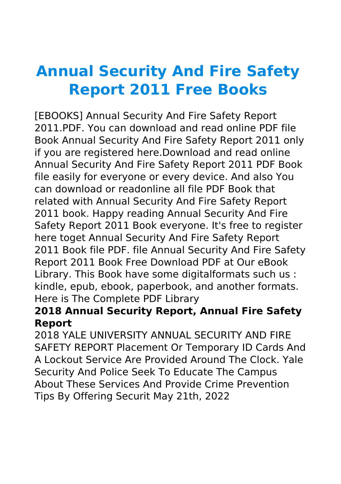# **Annual Security And Fire Safety Report 2011 Free Books**

[EBOOKS] Annual Security And Fire Safety Report 2011.PDF. You can download and read online PDF file Book Annual Security And Fire Safety Report 2011 only if you are registered here.Download and read online Annual Security And Fire Safety Report 2011 PDF Book file easily for everyone or every device. And also You can download or readonline all file PDF Book that related with Annual Security And Fire Safety Report 2011 book. Happy reading Annual Security And Fire Safety Report 2011 Book everyone. It's free to register here toget Annual Security And Fire Safety Report 2011 Book file PDF. file Annual Security And Fire Safety Report 2011 Book Free Download PDF at Our eBook Library. This Book have some digitalformats such us : kindle, epub, ebook, paperbook, and another formats. Here is The Complete PDF Library

### **2018 Annual Security Report, Annual Fire Safety Report**

2018 YALE UNIVERSITY ANNUAL SECURITY AND FIRE SAFETY REPORT Placement Or Temporary ID Cards And A Lockout Service Are Provided Around The Clock. Yale Security And Police Seek To Educate The Campus About These Services And Provide Crime Prevention Tips By Offering Securit May 21th, 2022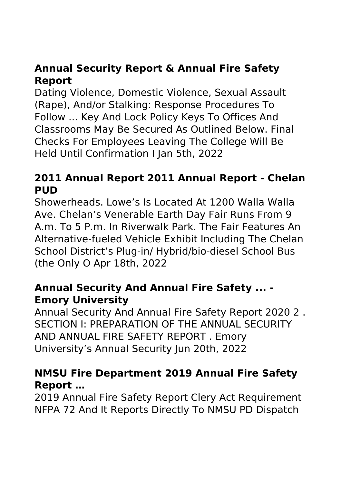# **Annual Security Report & Annual Fire Safety Report**

Dating Violence, Domestic Violence, Sexual Assault (Rape), And/or Stalking: Response Procedures To Follow ... Key And Lock Policy Keys To Offices And Classrooms May Be Secured As Outlined Below. Final Checks For Employees Leaving The College Will Be Held Until Confirmation I Jan 5th, 2022

#### **2011 Annual Report 2011 Annual Report - Chelan PUD**

Showerheads. Lowe's Is Located At 1200 Walla Walla Ave. Chelan's Venerable Earth Day Fair Runs From 9 A.m. To 5 P.m. In Riverwalk Park. The Fair Features An Alternative-fueled Vehicle Exhibit Including The Chelan School District's Plug-in/ Hybrid/bio-diesel School Bus (the Only O Apr 18th, 2022

#### **Annual Security And Annual Fire Safety ... - Emory University**

Annual Security And Annual Fire Safety Report 2020 2 . SECTION I: PREPARATION OF THE ANNUAL SECURITY AND ANNUAL FIRE SAFETY REPORT . Emory University's Annual Security Jun 20th, 2022

### **NMSU Fire Department 2019 Annual Fire Safety Report …**

2019 Annual Fire Safety Report Clery Act Requirement NFPA 72 And It Reports Directly To NMSU PD Dispatch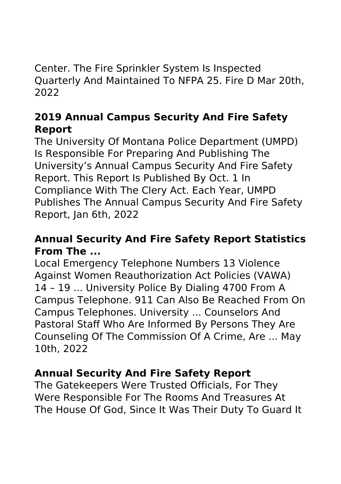Center. The Fire Sprinkler System Is Inspected Quarterly And Maintained To NFPA 25. Fire D Mar 20th, 2022

## **2019 Annual Campus Security And Fire Safety Report**

The University Of Montana Police Department (UMPD) Is Responsible For Preparing And Publishing The University's Annual Campus Security And Fire Safety Report. This Report Is Published By Oct. 1 In Compliance With The Clery Act. Each Year, UMPD Publishes The Annual Campus Security And Fire Safety Report, Jan 6th, 2022

### **Annual Security And Fire Safety Report Statistics From The ...**

Local Emergency Telephone Numbers 13 Violence Against Women Reauthorization Act Policies (VAWA) 14 – 19 ... University Police By Dialing 4700 From A Campus Telephone. 911 Can Also Be Reached From On Campus Telephones. University ... Counselors And Pastoral Staff Who Are Informed By Persons They Are Counseling Of The Commission Of A Crime, Are ... May 10th, 2022

## **Annual Security And Fire Safety Report**

The Gatekeepers Were Trusted Officials, For They Were Responsible For The Rooms And Treasures At The House Of God, Since It Was Their Duty To Guard It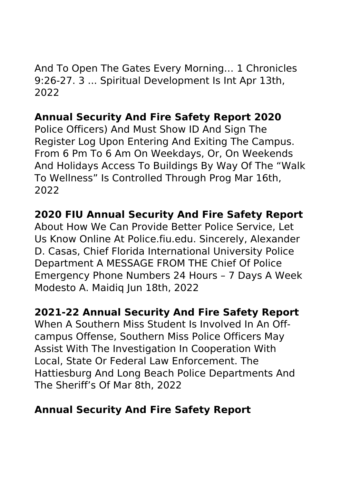And To Open The Gates Every Morning… 1 Chronicles 9:26-27. 3 ... Spiritual Development Is Int Apr 13th, 2022

## **Annual Security And Fire Safety Report 2020**

Police Officers) And Must Show ID And Sign The Register Log Upon Entering And Exiting The Campus. From 6 Pm To 6 Am On Weekdays, Or, On Weekends And Holidays Access To Buildings By Way Of The "Walk To Wellness" Is Controlled Through Prog Mar 16th, 2022

## **2020 FIU Annual Security And Fire Safety Report**

About How We Can Provide Better Police Service, Let Us Know Online At Police.fiu.edu. Sincerely, Alexander D. Casas, Chief Florida International University Police Department A MESSAGE FROM THE Chief Of Police Emergency Phone Numbers 24 Hours – 7 Days A Week Modesto A. Maidiq Jun 18th, 2022

#### **2021-22 Annual Security And Fire Safety Report**

When A Southern Miss Student Is Involved In An Offcampus Offense, Southern Miss Police Officers May Assist With The Investigation In Cooperation With Local, State Or Federal Law Enforcement. The Hattiesburg And Long Beach Police Departments And The Sheriff's Of Mar 8th, 2022

## **Annual Security And Fire Safety Report**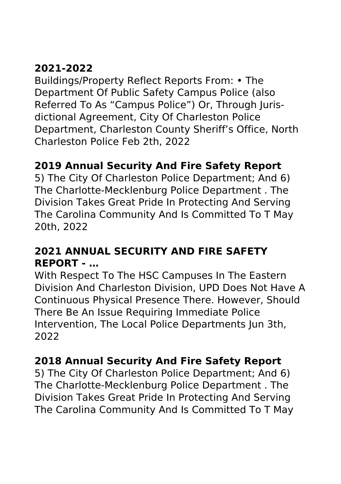# **2021-2022**

Buildings/Property Reflect Reports From: • The Department Of Public Safety Campus Police (also Referred To As "Campus Police") Or, Through Jurisdictional Agreement, City Of Charleston Police Department, Charleston County Sheriff's Office, North Charleston Police Feb 2th, 2022

## **2019 Annual Security And Fire Safety Report**

5) The City Of Charleston Police Department; And 6) The Charlotte-Mecklenburg Police Department . The Division Takes Great Pride In Protecting And Serving The Carolina Community And Is Committed To T May 20th, 2022

## **2021 ANNUAL SECURITY AND FIRE SAFETY REPORT - …**

With Respect To The HSC Campuses In The Eastern Division And Charleston Division, UPD Does Not Have A Continuous Physical Presence There. However, Should There Be An Issue Requiring Immediate Police Intervention, The Local Police Departments Jun 3th, 2022

## **2018 Annual Security And Fire Safety Report**

5) The City Of Charleston Police Department; And 6) The Charlotte-Mecklenburg Police Department . The Division Takes Great Pride In Protecting And Serving The Carolina Community And Is Committed To T May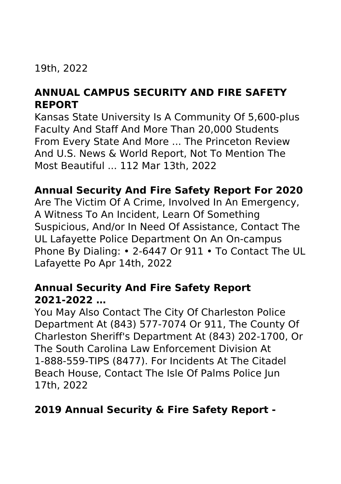#### 19th, 2022

## **ANNUAL CAMPUS SECURITY AND FIRE SAFETY REPORT**

Kansas State University Is A Community Of 5,600-plus Faculty And Staff And More Than 20,000 Students From Every State And More ... The Princeton Review And U.S. News & World Report, Not To Mention The Most Beautiful ... 112 Mar 13th, 2022

#### **Annual Security And Fire Safety Report For 2020**

Are The Victim Of A Crime, Involved In An Emergency, A Witness To An Incident, Learn Of Something Suspicious, And/or In Need Of Assistance, Contact The UL Lafayette Police Department On An On-campus Phone By Dialing: • 2-6447 Or 911 • To Contact The UL Lafayette Po Apr 14th, 2022

#### **Annual Security And Fire Safety Report 2021-2022 …**

You May Also Contact The City Of Charleston Police Department At (843) 577-7074 Or 911, The County Of Charleston Sheriff's Department At (843) 202-1700, Or The South Carolina Law Enforcement Division At 1-888-559-TIPS (8477). For Incidents At The Citadel Beach House, Contact The Isle Of Palms Police Jun 17th, 2022

## **2019 Annual Security & Fire Safety Report -**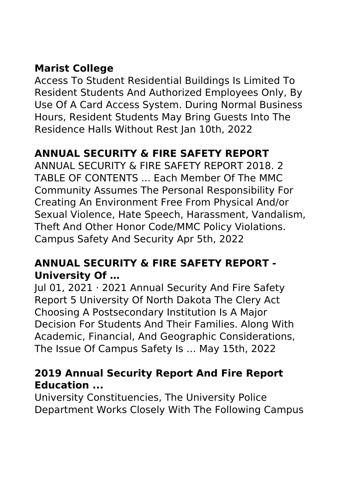# **Marist College**

Access To Student Residential Buildings Is Limited To Resident Students And Authorized Employees Only, By Use Of A Card Access System. During Normal Business Hours, Resident Students May Bring Guests Into The Residence Halls Without Rest Jan 10th, 2022

# **ANNUAL SECURITY & FIRE SAFETY REPORT**

ANNUAL SECURITY & FIRE SAFETY REPORT 2018. 2 TABLE OF CONTENTS ... Each Member Of The MMC Community Assumes The Personal Responsibility For Creating An Environment Free From Physical And/or Sexual Violence, Hate Speech, Harassment, Vandalism, Theft And Other Honor Code/MMC Policy Violations. Campus Safety And Security Apr 5th, 2022

#### **ANNUAL SECURITY & FIRE SAFETY REPORT - University Of …**

Jul 01, 2021 · 2021 Annual Security And Fire Safety Report 5 University Of North Dakota The Clery Act Choosing A Postsecondary Institution Is A Major Decision For Students And Their Families. Along With Academic, Financial, And Geographic Considerations, The Issue Of Campus Safety Is … May 15th, 2022

### **2019 Annual Security Report And Fire Report Education ...**

University Constituencies, The University Police Department Works Closely With The Following Campus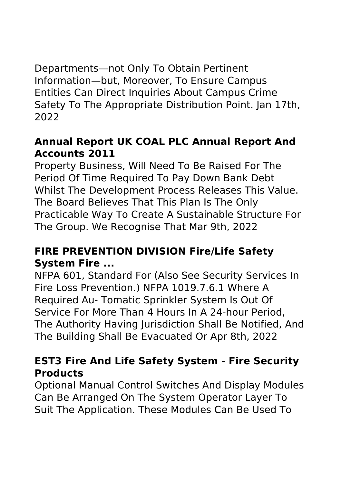Departments—not Only To Obtain Pertinent Information—but, Moreover, To Ensure Campus Entities Can Direct Inquiries About Campus Crime Safety To The Appropriate Distribution Point. Jan 17th, 2022

#### **Annual Report UK COAL PLC Annual Report And Accounts 2011**

Property Business, Will Need To Be Raised For The Period Of Time Required To Pay Down Bank Debt Whilst The Development Process Releases This Value. The Board Believes That This Plan Is The Only Practicable Way To Create A Sustainable Structure For The Group. We Recognise That Mar 9th, 2022

## **FIRE PREVENTION DIVISION Fire/Life Safety System Fire ...**

NFPA 601, Standard For (Also See Security Services In Fire Loss Prevention.) NFPA 1019.7.6.1 Where A Required Au- Tomatic Sprinkler System Is Out Of Service For More Than 4 Hours In A 24-hour Period, The Authority Having Jurisdiction Shall Be Notified, And The Building Shall Be Evacuated Or Apr 8th, 2022

## **EST3 Fire And Life Safety System - Fire Security Products**

Optional Manual Control Switches And Display Modules Can Be Arranged On The System Operator Layer To Suit The Application. These Modules Can Be Used To